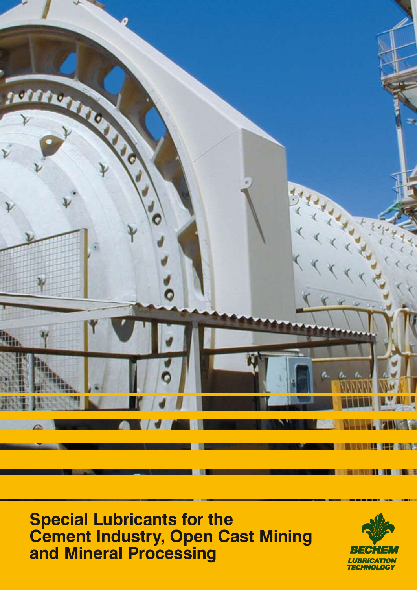

**Special Lubricants for the Cement Industry, Open Cast Mining and Mineral Processing**

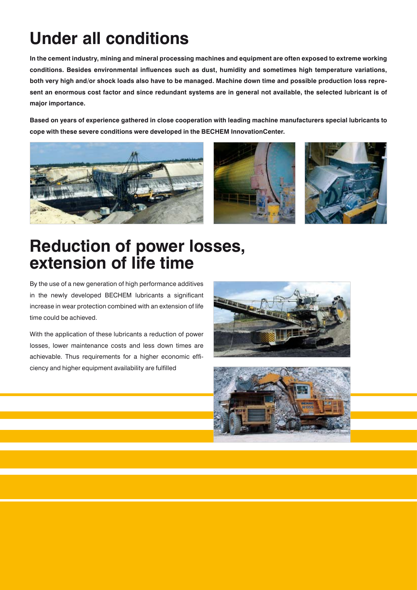## **Under all conditions**

**In the cement industry, mining and mineral processing machines and equipment are often exposed to extreme working conditions. Besides environmental influences such as dust, humidity and sometimes high temperature variations, both very high and/or shock loads also have to be managed. Machine down time and possible production loss represent an enormous cost factor and since redundant systems are in general not available, the selected lubricant is of major importance.** 

**Based on years of experience gathered in close cooperation with leading machine manufacturers special lubricants to cope with these severe conditions were developed in the BECHEM InnovationCenter.**







### **Reduction of power losses, extension of life time**

By the use of a new generation of high performance additives in the newly developed BECHEM lubricants a significant increase in wear protection combined with an extension of life time could be achieved.

With the application of these lubricants a reduction of power losses, lower maintenance costs and less down times are achievable. Thus requirements for a higher economic efficiency and higher equipment availability are fulfilled



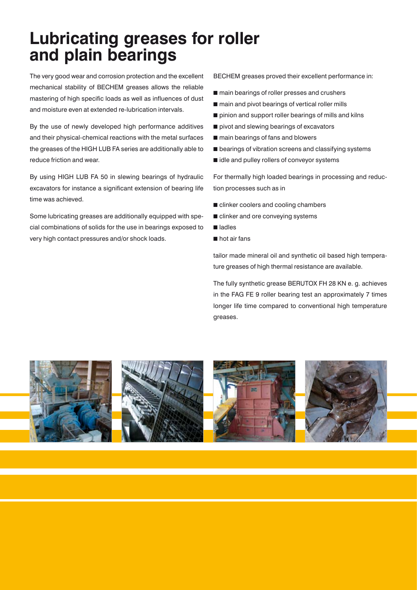### **Lubricating greases for roller and plain bearings**

The very good wear and corrosion protection and the excellent mechanical stability of BECHEM greases allows the reliable mastering of high specific loads as well as influences of dust and moisture even at extended re-lubrication intervals.

By the use of newly developed high performance additives and their physical-chemical reactions with the metal surfaces the greases of the HIGH LUB FA series are additionally able to reduce friction and wear.

By using HIGH LUB FA 50 in slewing bearings of hydraulic excavators for instance a significant extension of bearing life time was achieved.

Some lubricating greases are additionally equipped with special combinations of solids for the use in bearings exposed to very high contact pressures and/or shock loads.

BECHEM greases proved their excellent performance in:

- $m$  main bearings of roller presses and crushers
- $m$  main and pivot bearings of vertical roller mills
- $\blacksquare$  pinion and support roller bearings of mills and kilns
- $\blacksquare$  pivot and slewing bearings of excavators
- $m$  main bearings of fans and blowers
- $\blacksquare$  bearings of vibration screens and classifying systems
- $\blacksquare$  idle and pulley rollers of conveyor systems

For thermally high loaded bearings in processing and reduction processes such as in

- clinker coolers and cooling chambers
- $\blacksquare$  clinker and ore conveying systems
- n ladles
- $n$  hot air fans

tailor made mineral oil and synthetic oil based high temperature greases of high thermal resistance are available.

The fully synthetic grease BERUTOX FH 28 KN e. g. achieves in the FAG FE 9 roller bearing test an approximately 7 times longer life time compared to conventional high temperature greases.

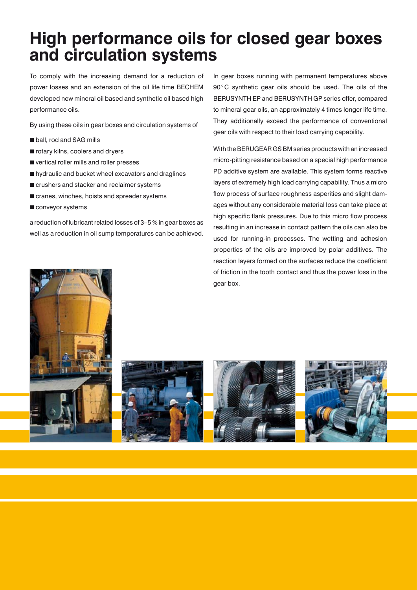### **High performance oils for closed gear boxes and circulation systems**

To comply with the increasing demand for a reduction of power losses and an extension of the oil life time BECHEM developed new mineral oil based and synthetic oil based high performance oils.

By using these oils in gear boxes and circulation systems of

- **n** ball, rod and SAG mills
- $\blacksquare$  rotary kilns, coolers and dryers
- $\blacksquare$  vertical roller mills and roller presses
- $\blacksquare$  hydraulic and bucket wheel excavators and draglines
- $\blacksquare$  crushers and stacker and reclaimer systems
- $\blacksquare$  cranes, winches, hoists and spreader systems
- $\blacksquare$  conveyor systems

a reduction of lubricant related losses of 3–5 % in gear boxes as well as a reduction in oil sump temperatures can be achieved.

In gear boxes running with permanent temperatures above 90°C synthetic gear oils should be used. The oils of the BERUSYNTH EP and BERUSYNTH GP series offer, compared to mineral gear oils, an approximately 4 times longer life time. They additionally exceed the performance of conventional gear oils with respect to their load carrying capability.

With the BERUGEAR GS BM series products with an increased micro-pitting resistance based on a special high performance PD additive system are available. This system forms reactive layers of extremely high load carrying capability. Thus a micro flow process of surface roughness asperities and slight damages without any considerable material loss can take place at high specific flank pressures. Due to this micro flow process resulting in an increase in contact pattern the oils can also be used for running-in processes. The wetting and adhesion properties of the oils are improved by polar additives. The reaction layers formed on the surfaces reduce the coefficient of friction in the tooth contact and thus the power loss in the gear box.







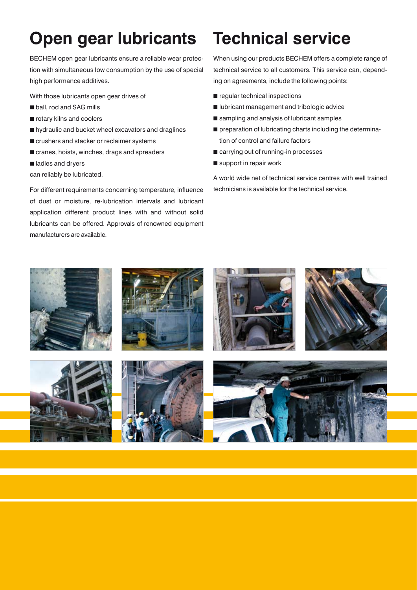# **Open gear lubricants**

BECHEM open gear lubricants ensure a reliable wear protection with simultaneous low consumption by the use of special high performance additives.

With those lubricants open gear drives of

- **n** ball, rod and SAG mills
- $\blacksquare$  rotary kilns and coolers
- n hydraulic and bucket wheel excavators and draglines
- $\blacksquare$  crushers and stacker or reclaimer systems
- $\blacksquare$  cranes, hoists, winches, drags and spreaders
- ladles and dryers

can reliably be lubricated.

For different requirements concerning temperature, influence of dust or moisture, re-lubrication intervals and lubricant application different product lines with and without solid lubricants can be offered. Approvals of renowned equipment manufacturers are available.

## **Technical service**

When using our products BECHEM offers a complete range of technical service to all customers. This service can, depending on agreements, include the following points:

- $\blacksquare$  regular technical inspections
- lubricant management and tribologic advice
- $\blacksquare$  sampling and analysis of lubricant samples
- $\blacksquare$  preparation of lubricating charts including the determination of control and failure factors
- $\blacksquare$  carrying out of running-in processes
- $\blacksquare$  support in repair work

A world wide net of technical service centres with well trained technicians is available for the technical service.

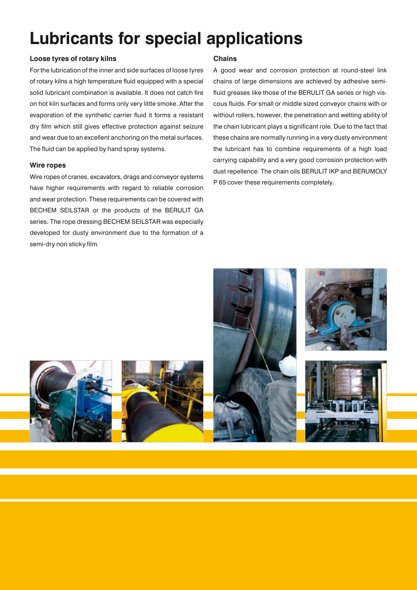## **Lubricants for special applications**

#### **Loose tyres of rotary kilns**

For the lubrication of the inner and side surfaces of loose tyres of rotary kilns a high temperature fluid equipped with a special solid lubricant combination is available. It does not catch fire on hot kiln surfaces and forms only very little smoke. After the evaporation of the synthetic carrier fluid it forms a resistant dry film which still gives effective protection against seizure and wear due to an excellent anchoring on the metal surfaces. The fluid can be applied by hand spray systems.

#### **Wire ropes**

Wire ropes of cranes, excavators, drags and conveyor systems have higher requirements with regard to reliable corrosion and wear protection. These requirements can be covered with BECHEM SEILSTAR or the products of the BERULIT GA series. The rope dressing BECHEM SEILSTAR was especially developed for dusty environment due to the formation of a semi-dry non sticky film.

#### **Chains**

A good wear and corrosion protection at round-steel link chains of large dimensions are achieved by adhesive semifluid greases like those of the BERULIT GA series or high viscous fluids. For small or middle sized conveyor chains with or without rollers, however, the penetration and wetting ability of the chain lubricant plays a significant role. Due to the fact that these chains are normally running in a very dusty environment the lubricant has to combine requirements of a high load carrying capability and a very good corrosion protection with dust repellence. The chain oils BERULIT IKP and BERUMOLY P 65 cover these requirements completely.

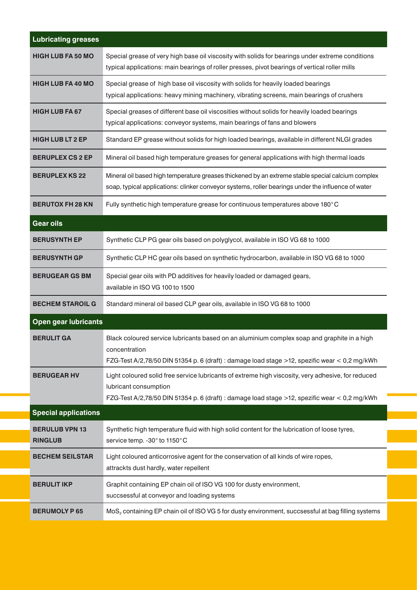| <b>Lubricating greases</b>              |                                                                                                                                                                                                                              |
|-----------------------------------------|------------------------------------------------------------------------------------------------------------------------------------------------------------------------------------------------------------------------------|
| <b>HIGH LUB FA 50 MO</b>                | Special grease of very high base oil viscosity with solids for bearings under extreme conditions<br>typical applications: main bearings of roller presses, pivot bearings of vertical roller mills                           |
| <b>HIGH LUB FA 40 MO</b>                | Special grease of high base oil viscosity with solids for heavily loaded bearings<br>typical applications: heavy mining machinery, vibrating screens, main bearings of crushers                                              |
| <b>HIGH LUB FA 67</b>                   | Special greases of different base oil viscosities without solids for heavily loaded bearings<br>typical applications: conveyor systems, main bearings of fans and blowers                                                    |
| <b>HIGH LUB LT 2 EP</b>                 | Standard EP grease without solids for high loaded bearings, available in different NLGI grades                                                                                                                               |
| <b>BERUPLEX CS 2 EP</b>                 | Mineral oil based high temperature greases for general applications with high thermal loads                                                                                                                                  |
| <b>BERUPLEX KS 22</b>                   | Mineral oil based high temperature greases thickened by an extreme stable special calcium complex<br>soap, typical applications: clinker conveyor systems, roller bearings under the influence of water                      |
| <b>BERUTOX FH 28 KN</b>                 | Fully synthetic high temperature grease for continuous temperatures above 180°C                                                                                                                                              |
| <b>Gear oils</b>                        |                                                                                                                                                                                                                              |
| <b>BERUSYNTH EP</b>                     | Synthetic CLP PG gear oils based on polyglycol, available in ISO VG 68 to 1000                                                                                                                                               |
| <b>BERUSYNTH GP</b>                     | Synthetic CLP HC gear oils based on synthetic hydrocarbon, available in ISO VG 68 to 1000                                                                                                                                    |
| <b>BERUGEAR GS BM</b>                   | Special gear oils with PD additives for heavily loaded or damaged gears,<br>available in ISO VG 100 to 1500                                                                                                                  |
| <b>BECHEM STAROIL G</b>                 | Standard mineral oil based CLP gear oils, available in ISO VG 68 to 1000                                                                                                                                                     |
| <b>Open gear lubricants</b>             |                                                                                                                                                                                                                              |
| <b>BERULIT GA</b>                       | Black coloured service lubricants based on an aluminium complex soap and graphite in a high<br>concentration<br>FZG-Test A/2,78/50 DIN 51354 p. 6 (draft) : damage load stage >12, spezific wear < 0,2 mg/kWh                |
| <b>BERUGEAR HV</b>                      | Light coloured solid free service lubricants of extreme high viscosity, very adhesive, for reduced<br>lubricant consumption<br>FZG-Test A/2,78/50 DIN 51354 p. 6 (draft) : damage load stage >12, spezific wear < 0,2 mg/kWh |
| <b>Special applications</b>             |                                                                                                                                                                                                                              |
| <b>BERULUB VPN 13</b><br><b>RINGLUB</b> | Synthetic high temperature fluid with high solid content for the lubrication of loose tyres,<br>service temp. - 30° to 1150°C                                                                                                |
| <b>BECHEM SEILSTAR</b>                  | Light coloured anticorrosive agent for the conservation of all kinds of wire ropes,<br>attrackts dust hardly, water repellent                                                                                                |
| <b>BERULIT IKP</b>                      | Graphit containing EP chain oil of ISO VG 100 for dusty environment,<br>succsessful at conveyor and loading systems                                                                                                          |
| <b>BERUMOLY P65</b>                     | MoS, containing EP chain oil of ISO VG 5 for dusty environment, succsessful at bag filling systems                                                                                                                           |